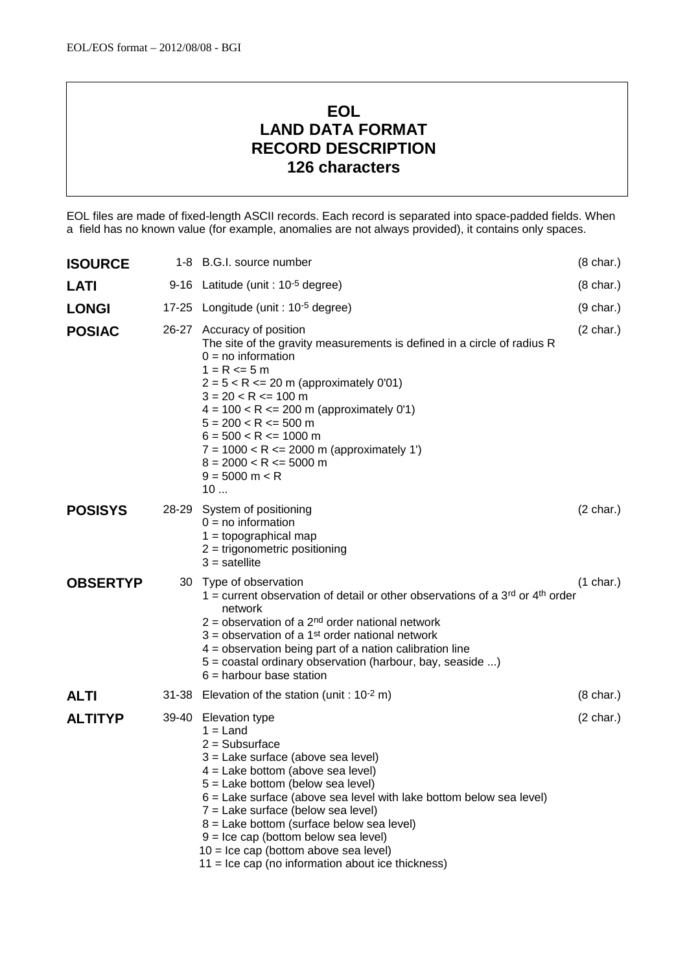## **EOL LAND DATA FORMAT RECORD DESCRIPTION 126 characters**

EOL files are made of fixed-length ASCII records. Each record is separated into space-padded fields. When a field has no known value (for example, anomalies are not always provided), it contains only spaces.

| <b>ISOURCE</b>  | 1-8 B.G.I. source number                                                                                                                                                                                                                                                                                                                                                                                                                                                           | $(8 \text{ char.})$ |
|-----------------|------------------------------------------------------------------------------------------------------------------------------------------------------------------------------------------------------------------------------------------------------------------------------------------------------------------------------------------------------------------------------------------------------------------------------------------------------------------------------------|---------------------|
| <b>LATI</b>     | 9-16 Latitude (unit : 10 <sup>-5</sup> degree)                                                                                                                                                                                                                                                                                                                                                                                                                                     | $(8 \text{ char.})$ |
| <b>LONGI</b>    | 17-25 Longitude (unit : 10 <sup>-5</sup> degree)                                                                                                                                                                                                                                                                                                                                                                                                                                   | $(9 \text{ char.})$ |
| <b>POSIAC</b>   | 26-27 Accuracy of position<br>The site of the gravity measurements is defined in a circle of radius R<br>$0 = no$ information<br>$1 = R \le 5 m$<br>$2 = 5 < R \le 20$ m (approximately 0'01)<br>$3 = 20 < R \le 100$ m<br>$4 = 100 < R \le 200$ m (approximately 0'1)<br>$5 = 200 < R \le 500$ m<br>$6 = 500 < R \le 1000$ m<br>$7 = 1000 < R \le 2000$ m (approximately 1')<br>$8 = 2000 < R \le 5000$ m<br>$9 = 5000$ m < R<br>10                                               | $(2 \text{ char.})$ |
| <b>POSISYS</b>  | 28-29 System of positioning<br>$0 = no$ information<br>$1 =$ topographical map<br>$2 =$ trigonometric positioning<br>$3 =$ satellite                                                                                                                                                                                                                                                                                                                                               | $(2 \text{ char.})$ |
| <b>OBSERTYP</b> | 30 Type of observation<br>1 = current observation of detail or other observations of a 3 <sup>rd</sup> or 4 <sup>th</sup> order<br>network<br>$2$ = observation of a 2 <sup>nd</sup> order national network<br>$3$ = observation of a 1st order national network<br>4 = observation being part of a nation calibration line<br>5 = coastal ordinary observation (harbour, bay, seaside )<br>$6$ = harbour base station                                                             | $(1 \text{ char.})$ |
| <b>ALTI</b>     | 31-38 Elevation of the station (unit : $10^{-2}$ m)                                                                                                                                                                                                                                                                                                                                                                                                                                | $(8 \text{ char.})$ |
| <b>ALTITYP</b>  | 39-40 Elevation type<br>$1 =$ Land<br>$2 = Subsurface$<br>3 = Lake surface (above sea level)<br>$4 =$ Lake bottom (above sea level)<br>5 = Lake bottom (below sea level)<br>$6$ = Lake surface (above sea level with lake bottom below sea level)<br>7 = Lake surface (below sea level)<br>$8$ = Lake bottom (surface below sea level)<br>$9 =$ Ice cap (bottom below sea level)<br>$10 =$ Ice cap (bottom above sea level)<br>$11 =$ Ice cap (no information about ice thickness) | $(2 \text{ char.})$ |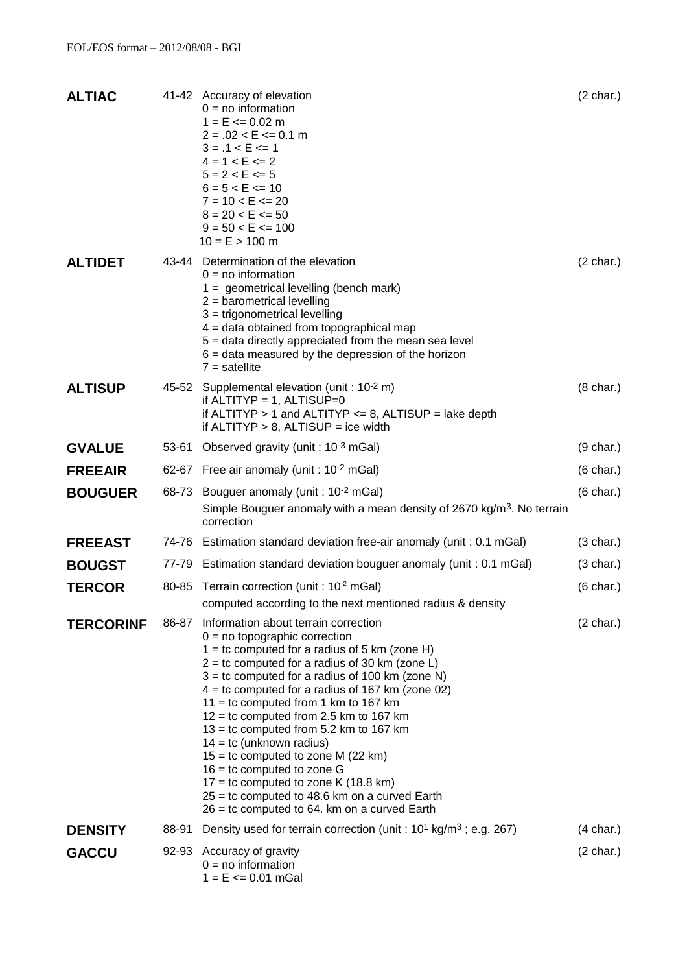| <b>ALTIAC</b>    |       | 41-42 Accuracy of elevation<br>$0 = no information$<br>$1 = E \le 0.02$ m<br>$2 = .02 < E \le 0.1$ m<br>$3 = .1 < E \le 1$<br>$4 = 1 < E \le 2$<br>$5 = 2 < E \le 5$<br>$6 = 5 < E \le 10$<br>$7 = 10 < E \le 20$<br>$8 = 20 < E \le 50$<br>$9 = 50 < E \le 100$<br>$10 = E > 100$ m                                                                                                                                                                                                                                                                                                                                                                                             | $(2 \text{ char.})$ |
|------------------|-------|----------------------------------------------------------------------------------------------------------------------------------------------------------------------------------------------------------------------------------------------------------------------------------------------------------------------------------------------------------------------------------------------------------------------------------------------------------------------------------------------------------------------------------------------------------------------------------------------------------------------------------------------------------------------------------|---------------------|
| <b>ALTIDET</b>   |       | 43-44 Determination of the elevation<br>$0 = no$ information<br>$1 =$ geometrical levelling (bench mark)<br>$2$ = barometrical levelling<br>$3$ = trigonometrical levelling<br>$4 =$ data obtained from topographical map<br>5 = data directly appreciated from the mean sea level<br>$6 =$ data measured by the depression of the horizon<br>$7 =$ satellite                                                                                                                                                                                                                                                                                                                    | $(2 \text{ char.})$ |
| <b>ALTISUP</b>   |       | 45-52 Supplemental elevation (unit : 10-2 m)<br>if ALTITYP = $1$ , ALTISUP=0<br>if $ALTITYP > 1$ and $ALTITYP \le 8$ , $ALTISUP =$ lake depth<br>if ALTITYP $> 8$ , ALTISUP = ice width                                                                                                                                                                                                                                                                                                                                                                                                                                                                                          | $(8 \text{ char.})$ |
| <b>GVALUE</b>    |       | 53-61 Observed gravity (unit : 10-3 mGal)                                                                                                                                                                                                                                                                                                                                                                                                                                                                                                                                                                                                                                        | $(9 \text{ char.})$ |
| <b>FREEAIR</b>   |       | 62-67 Free air anomaly (unit : 10-2 mGal)                                                                                                                                                                                                                                                                                                                                                                                                                                                                                                                                                                                                                                        | $(6 \text{ char.})$ |
| <b>BOUGUER</b>   |       | 68-73 Bouguer anomaly (unit : 10-2 mGal)<br>Simple Bouguer anomaly with a mean density of 2670 kg/m <sup>3</sup> . No terrain<br>correction                                                                                                                                                                                                                                                                                                                                                                                                                                                                                                                                      | $(6 \text{ char.})$ |
| <b>FREEAST</b>   |       | 74-76 Estimation standard deviation free-air anomaly (unit: 0.1 mGal)                                                                                                                                                                                                                                                                                                                                                                                                                                                                                                                                                                                                            | $(3 \text{ char.})$ |
| <b>BOUGST</b>    |       | 77-79 Estimation standard deviation bouguer anomaly (unit: 0.1 mGal)                                                                                                                                                                                                                                                                                                                                                                                                                                                                                                                                                                                                             | $(3 \text{ char.})$ |
| <b>TERCOR</b>    |       | 80-85 Terrain correction (unit : 10 <sup>-2</sup> mGal)<br>computed according to the next mentioned radius & density                                                                                                                                                                                                                                                                                                                                                                                                                                                                                                                                                             | $(6 \text{ char.})$ |
| <b>TERCORINF</b> | 86-87 | Information about terrain correction<br>$0 = no$ topographic correction<br>$1 =$ tc computed for a radius of 5 km (zone H)<br>$2 =$ tc computed for a radius of 30 km (zone L)<br>$3 =$ tc computed for a radius of 100 km (zone N)<br>$4 =$ tc computed for a radius of 167 km (zone 02)<br>$11 =$ tc computed from 1 km to 167 km<br>$12 =$ tc computed from 2.5 km to 167 km<br>$13 =$ tc computed from 5.2 km to 167 km<br>$14 =$ tc (unknown radius)<br>$15 =$ tc computed to zone M (22 km)<br>$16 =$ tc computed to zone G<br>$17 =$ tc computed to zone K (18.8 km)<br>$25 =$ tc computed to 48.6 km on a curved Earth<br>$26 =$ tc computed to 64. km on a curved Earth | $(2 \text{ char.})$ |
| <b>DENSITY</b>   | 88-91 | Density used for terrain correction (unit : $10^1$ kg/m <sup>3</sup> ; e.g. 267)                                                                                                                                                                                                                                                                                                                                                                                                                                                                                                                                                                                                 | $(4 \text{ char.})$ |
| <b>GACCU</b>     |       | 92-93 Accuracy of gravity<br>$0 = no$ information<br>$1 = E \le 0.01 \text{ mGal}$                                                                                                                                                                                                                                                                                                                                                                                                                                                                                                                                                                                               | $(2 \text{ char.})$ |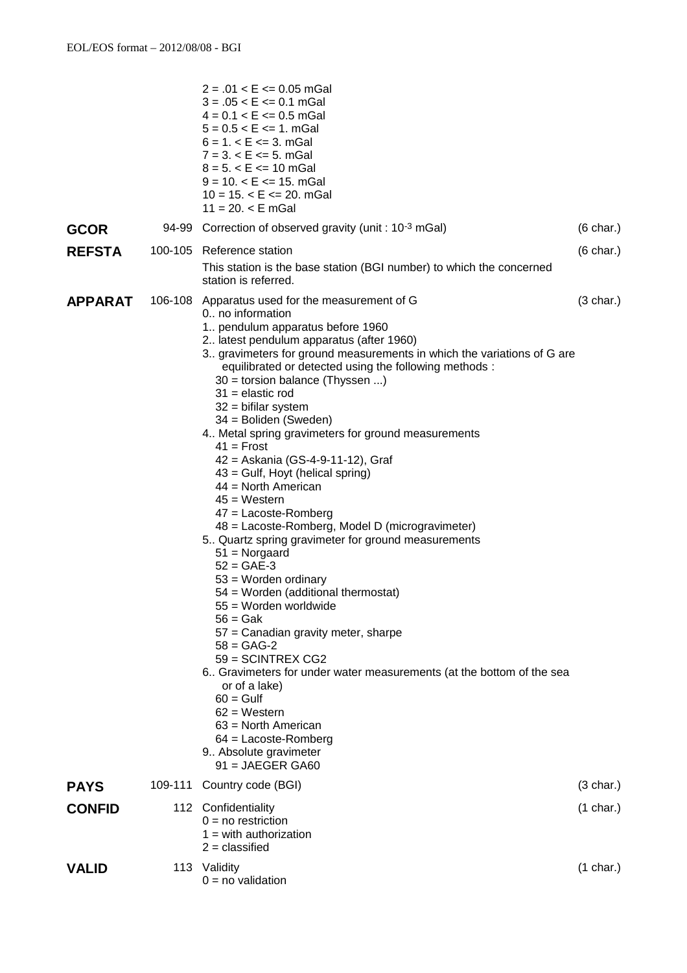|                | $2 = .01 < E \le 0.05$ mGal<br>$3 = .05 < E \le 0.1$ mGal<br>$4 = 0.1 < E \le 0.5$ mGal<br>$5 = 0.5 < E \le 1$ . mGal<br>$6 = 1$ , $\lt E \lt = 3$ , mGal<br>$7 = 3. < E \le 5.$ mGal<br>$8 = 5. < E \le 10$ mGal<br>$9 = 10. < E \le 15.$ mGal<br>$10 = 15. < E \le 20.$ mGal<br>$11 = 20. < E$ mGal                                                                                                                                                                                                                                                                                                                                                                                                                                                                                                                                                                                                                                                                                                                                                                                                                                                                                     |                     |
|----------------|-------------------------------------------------------------------------------------------------------------------------------------------------------------------------------------------------------------------------------------------------------------------------------------------------------------------------------------------------------------------------------------------------------------------------------------------------------------------------------------------------------------------------------------------------------------------------------------------------------------------------------------------------------------------------------------------------------------------------------------------------------------------------------------------------------------------------------------------------------------------------------------------------------------------------------------------------------------------------------------------------------------------------------------------------------------------------------------------------------------------------------------------------------------------------------------------|---------------------|
| GCOR           | 94-99 Correction of observed gravity (unit : 10 <sup>-3</sup> mGal)                                                                                                                                                                                                                                                                                                                                                                                                                                                                                                                                                                                                                                                                                                                                                                                                                                                                                                                                                                                                                                                                                                                       | $(6 \text{ char.})$ |
| <b>REFSTA</b>  | 100-105 Reference station<br>This station is the base station (BGI number) to which the concerned<br>station is referred.                                                                                                                                                                                                                                                                                                                                                                                                                                                                                                                                                                                                                                                                                                                                                                                                                                                                                                                                                                                                                                                                 | $(6 \text{ char.})$ |
| <b>APPARAT</b> | 106-108 Apparatus used for the measurement of G<br>0 no information<br>1. pendulum apparatus before 1960<br>2. latest pendulum apparatus (after 1960)<br>3. gravimeters for ground measurements in which the variations of G are<br>equilibrated or detected using the following methods :<br>30 = torsion balance (Thyssen )<br>$31$ = elastic rod<br>$32$ = bifilar system<br>34 = Boliden (Sweden)<br>4. Metal spring gravimeters for ground measurements<br>$41$ = Frost<br>42 = Askania (GS-4-9-11-12), Graf<br>43 = Gulf, Hoyt (helical spring)<br>$44 =$ North American<br>$45 = Western$<br>$47$ = Lacoste-Romberg<br>48 = Lacoste-Romberg, Model D (microgravimeter)<br>5. Quartz spring gravimeter for ground measurements<br>$51 = Norgaard$<br>$52 = GAE-3$<br>$53$ = Worden ordinary<br>54 = Worden (additional thermostat)<br>55 = Worden worldwide<br>$56 = Gak$<br>57 = Canadian gravity meter, sharpe<br>$58 = GAG-2$<br>59 = SCINTREX CG2<br>6. Gravimeters for under water measurements (at the bottom of the sea<br>or of a lake)<br>$60 = Gulf$<br>$62$ = Western<br>$63$ = North American<br>$64$ = Lacoste-Romberg<br>9. Absolute gravimeter<br>$91 = JAEGER GA60$ | $(3 \text{ char.})$ |
| <b>PAYS</b>    | 109-111 Country code (BGI)                                                                                                                                                                                                                                                                                                                                                                                                                                                                                                                                                                                                                                                                                                                                                                                                                                                                                                                                                                                                                                                                                                                                                                | $(3 \text{ char.})$ |
| <b>CONFID</b>  | 112 Confidentiality<br>$0 = no restriction$<br>$1 =$ with authorization<br>$2 =$ classified                                                                                                                                                                                                                                                                                                                                                                                                                                                                                                                                                                                                                                                                                                                                                                                                                                                                                                                                                                                                                                                                                               | $(1 \text{ char.})$ |
| VALID          | 113 Validity<br>$0 = no$ validation                                                                                                                                                                                                                                                                                                                                                                                                                                                                                                                                                                                                                                                                                                                                                                                                                                                                                                                                                                                                                                                                                                                                                       | $(1 \text{ char.})$ |
|                |                                                                                                                                                                                                                                                                                                                                                                                                                                                                                                                                                                                                                                                                                                                                                                                                                                                                                                                                                                                                                                                                                                                                                                                           |                     |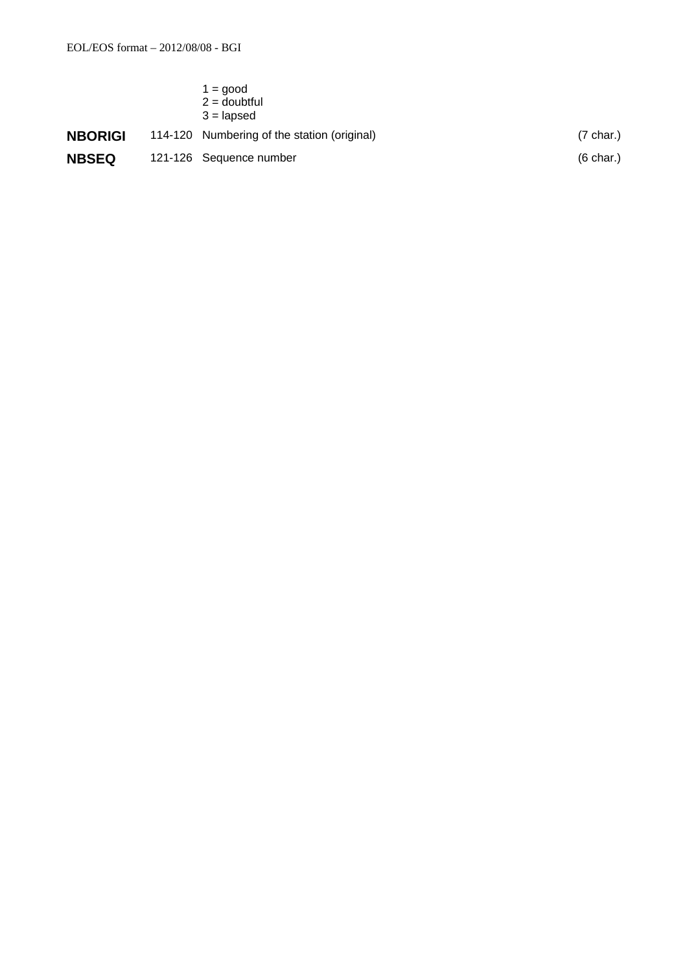|                | $1 = \text{good}$<br>$2 =$ doubtful<br>$3 =$ lapsed |                     |
|----------------|-----------------------------------------------------|---------------------|
| <b>NBORIGI</b> | 114-120 Numbering of the station (original)         | $(7 \text{ char.})$ |
| <b>NBSEQ</b>   | 121-126 Sequence number                             | $(6 \text{ char.})$ |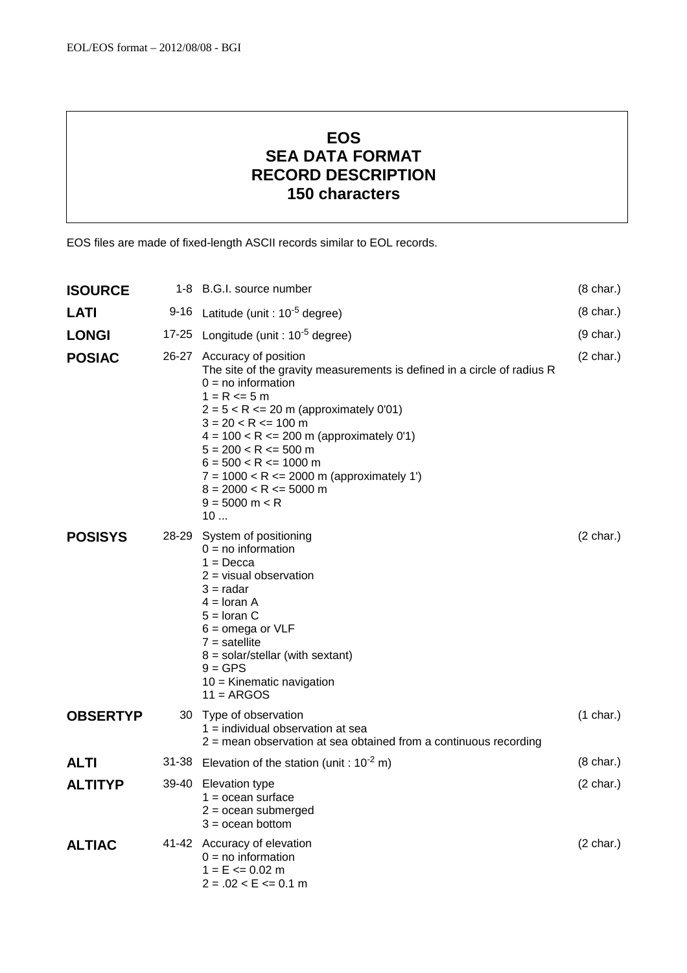# **EOS SEA DATA FORMAT RECORD DESCRIPTION 150 characters**

EOS files are made of fixed-length ASCII records similar to EOL records.

| <b>ISOURCE</b>  |      | 1-8 B.G.I. source number                                                                                                                                                                                                                                                                                                                                                                                                           | $(8 \text{ char.})$ |
|-----------------|------|------------------------------------------------------------------------------------------------------------------------------------------------------------------------------------------------------------------------------------------------------------------------------------------------------------------------------------------------------------------------------------------------------------------------------------|---------------------|
| LATI            | 9-16 | Latitude (unit : 10 <sup>-5</sup> degree)                                                                                                                                                                                                                                                                                                                                                                                          | $(8 \text{ char.})$ |
| <b>LONGI</b>    |      | 17-25 Longitude (unit : 10 <sup>-5</sup> degree)                                                                                                                                                                                                                                                                                                                                                                                   | $(9 \text{ char.})$ |
| <b>POSIAC</b>   |      | 26-27 Accuracy of position<br>The site of the gravity measurements is defined in a circle of radius R<br>$0 = no$ information<br>$1 = R \le 5 m$<br>$2 = 5 < R < 20$ m (approximately 0'01)<br>$3 = 20 < R \le 100$ m<br>$4 = 100 < R \le 200$ m (approximately 0'1)<br>$5 = 200 < R \le 500$ m<br>$6 = 500 < R \le 1000$ m<br>$7 = 1000 < R \le 2000$ m (approximately 1')<br>$8 = 2000 < R \le 5000$ m<br>$9 = 5000$ m < R<br>10 |                     |
| <b>POSISYS</b>  |      | 28-29 System of positioning<br>$0 = no$ information<br>$1 = Decca$<br>$2 =$ visual observation<br>$3 =$ radar<br>$4 =$ loran A<br>$5 =$ loran C<br>$6 = \text{omega or VLF}$<br>$7 =$ satellite<br>$8 =$ solar/stellar (with sextant)<br>$9 = GPS$<br>$10 =$ Kinematic navigation<br>$11 = ARGOS$                                                                                                                                  | $(2 \text{ char.})$ |
| <b>OBSERTYP</b> |      | 30 Type of observation<br>$1 =$ individual observation at sea<br>2 = mean observation at sea obtained from a continuous recording                                                                                                                                                                                                                                                                                                  | $(1 \text{ char.})$ |
| <b>ALTI</b>     |      | 31-38 Elevation of the station (unit : $10^{-2}$ m)                                                                                                                                                                                                                                                                                                                                                                                | $(8 \text{ char.})$ |
| <b>ALTITYP</b>  |      | 39-40 Elevation type<br>$1 =$ ocean surface<br>$2 = ocean$ submerged<br>$3 = ocean bottom$                                                                                                                                                                                                                                                                                                                                         | $(2 \text{ char.})$ |
| <b>ALTIAC</b>   |      | 41-42 Accuracy of elevation<br>$0 = no$ information<br>$1 = E \le 0.02$ m<br>$2 = .02 < E \le 0.1$ m                                                                                                                                                                                                                                                                                                                               | $(2 \text{ char.})$ |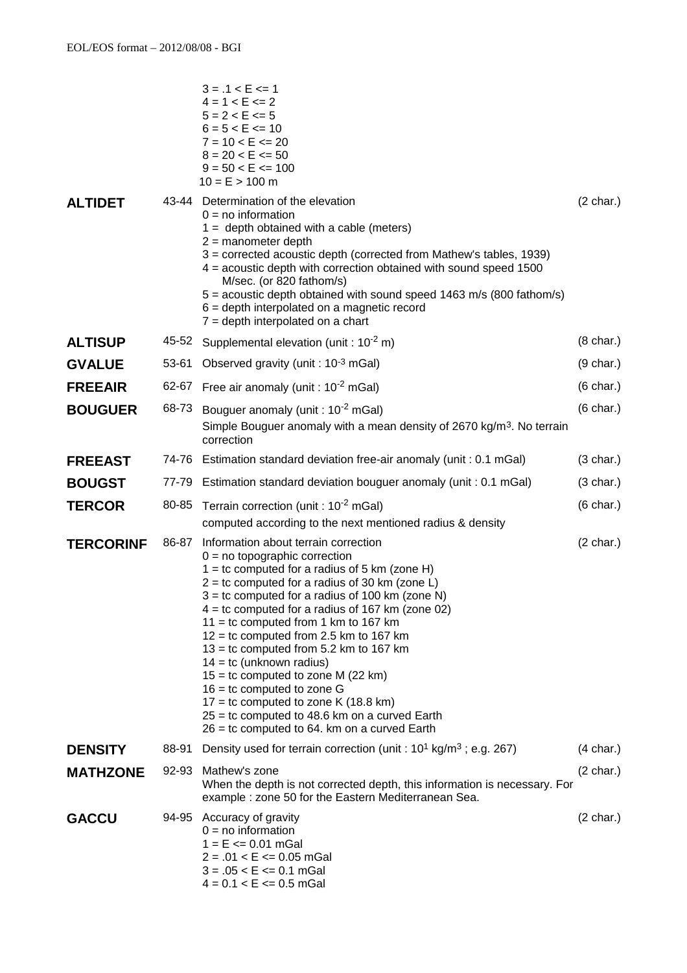|                  |       | $3 = .1 < E \le 1$<br>$4 = 1 < E \le 2$<br>$5 = 2 < E \le 5$<br>$6 = 5 < E \le 10$<br>$7 = 10 < E \le 20$<br>$8 = 20 < E < 50$<br>$9 = 50 < E \le 100$<br>$10 = E > 100$ m                                                                                                                                                                                                                                                                                                                                                                                                                                                                                                     |                     |
|------------------|-------|--------------------------------------------------------------------------------------------------------------------------------------------------------------------------------------------------------------------------------------------------------------------------------------------------------------------------------------------------------------------------------------------------------------------------------------------------------------------------------------------------------------------------------------------------------------------------------------------------------------------------------------------------------------------------------|---------------------|
| <b>ALTIDET</b>   |       | 43-44 Determination of the elevation<br>$0 = no$ information<br>$1 =$ depth obtained with a cable (meters)<br>$2 =$ manometer depth<br>3 = corrected acoustic depth (corrected from Mathew's tables, 1939)<br>4 = acoustic depth with correction obtained with sound speed 1500<br>M/sec. (or 820 fathom/s)<br>5 = acoustic depth obtained with sound speed 1463 m/s (800 fathom/s)<br>$6 =$ depth interpolated on a magnetic record<br>$7 =$ depth interpolated on a chart                                                                                                                                                                                                    | $(2 \text{ char.})$ |
| <b>ALTISUP</b>   |       | 45-52 Supplemental elevation (unit : $10^{-2}$ m)                                                                                                                                                                                                                                                                                                                                                                                                                                                                                                                                                                                                                              | $(8 \text{ char.})$ |
| <b>GVALUE</b>    |       | 53-61 Observed gravity (unit : 10-3 mGal)                                                                                                                                                                                                                                                                                                                                                                                                                                                                                                                                                                                                                                      | $(9 \text{ char.})$ |
| <b>FREEAIR</b>   |       | 62-67 Free air anomaly (unit : $10^{-2}$ mGal)                                                                                                                                                                                                                                                                                                                                                                                                                                                                                                                                                                                                                                 | $(6 \text{ char.})$ |
| <b>BOUGUER</b>   | 68-73 | Bouguer anomaly (unit: 10 <sup>-2</sup> mGal)<br>Simple Bouguer anomaly with a mean density of 2670 kg/m <sup>3</sup> . No terrain<br>correction                                                                                                                                                                                                                                                                                                                                                                                                                                                                                                                               | $(6 \text{ char.})$ |
| <b>FREEAST</b>   |       | 74-76 Estimation standard deviation free-air anomaly (unit: 0.1 mGal)                                                                                                                                                                                                                                                                                                                                                                                                                                                                                                                                                                                                          | $(3 \text{ char.})$ |
| <b>BOUGST</b>    |       | 77-79 Estimation standard deviation bouguer anomaly (unit: 0.1 mGal)                                                                                                                                                                                                                                                                                                                                                                                                                                                                                                                                                                                                           | $(3 \text{ char.})$ |
| <b>TERCOR</b>    | 80-85 | Terrain correction (unit : $10^{-2}$ mGal)<br>computed according to the next mentioned radius & density                                                                                                                                                                                                                                                                                                                                                                                                                                                                                                                                                                        |                     |
| <b>TERCORINF</b> | 86-87 | Information about terrain correction<br>$0 = no$ topographic correction<br>$1 =$ tc computed for a radius of 5 km (zone H)<br>$2 =$ tc computed for a radius of 30 km (zone L)<br>$3 =$ tc computed for a radius of 100 km (zone N)<br>$4 =$ tc computed for a radius of 167 km (zone 02)<br>$11 =$ tc computed from 1 km to 167 km<br>$12 =$ tc computed from 2.5 km to 167 km<br>$13 =$ tc computed from 5.2 km to 167 km<br>$14 =$ tc (unknown radius)<br>$15 =$ tc computed to zone M (22 km)<br>$16 =$ tc computed to zone G<br>$17 =$ tc computed to zone K (18.8 km)<br>$25 =$ tc computed to 48.6 km on a curved Earth<br>26 = tc computed to 64. km on a curved Earth | $(2 \text{ char.})$ |
| <b>DENSITY</b>   | 88-91 | Density used for terrain correction (unit : $10^1$ kg/m <sup>3</sup> ; e.g. 267)                                                                                                                                                                                                                                                                                                                                                                                                                                                                                                                                                                                               | $(4 \text{ char.})$ |
| <b>MATHZONE</b>  | 92-93 | Mathew's zone<br>When the depth is not corrected depth, this information is necessary. For<br>example : zone 50 for the Eastern Mediterranean Sea.                                                                                                                                                                                                                                                                                                                                                                                                                                                                                                                             | $(2 \text{ char.})$ |
| <b>GACCU</b>     |       | 94-95 Accuracy of gravity<br>$0 = no$ information<br>$1 = E \le 0.01$ mGal<br>$2 = .01 < E \le 0.05$ mGal<br>$3 = .05 < E \le 0.1$ mGal<br>$4 = 0.1 < E \le 0.5$ mGal                                                                                                                                                                                                                                                                                                                                                                                                                                                                                                          | $(2 \text{ char.})$ |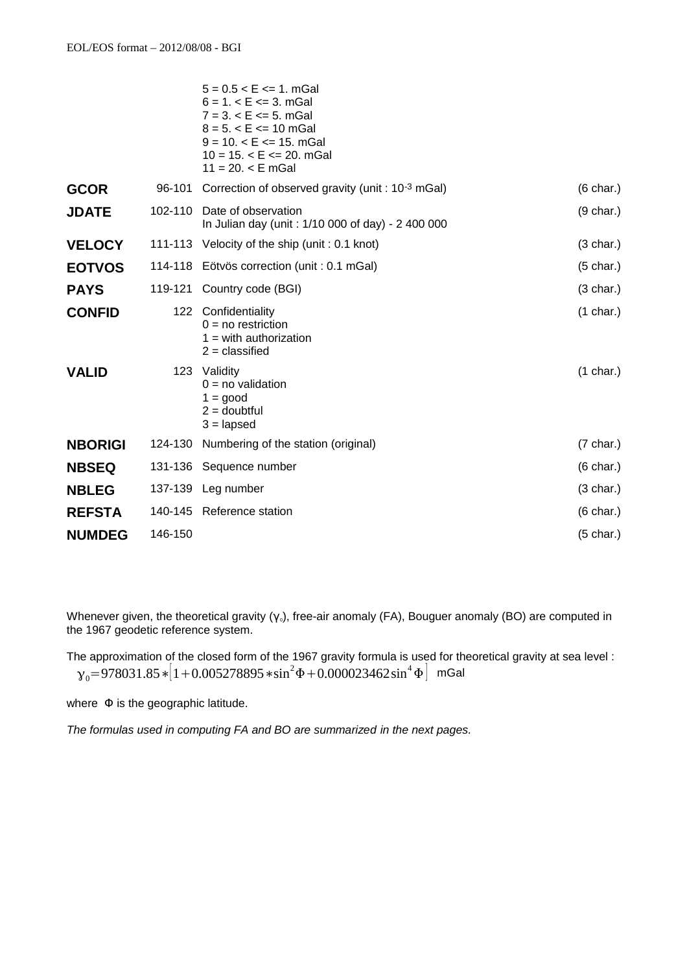|                |         | $5 = 0.5 < E \le 1$ . mGal<br>$6 = 1. < E \le 3.$ mGal<br>$7 = 3. < E \le 5.$ mGal<br>$8 = 5. < E \le 10$ mGal<br>$9 = 10. < E \le 15.$ mGal<br>$10 = 15. < E \le 20.$ mGal<br>$11 = 20. < E$ mGal |                     |
|----------------|---------|----------------------------------------------------------------------------------------------------------------------------------------------------------------------------------------------------|---------------------|
| <b>GCOR</b>    |         | 96-101 Correction of observed gravity (unit: 10 <sup>-3</sup> mGal)                                                                                                                                | $(6 \text{ char.})$ |
| <b>JDATE</b>   | 102-110 | Date of observation<br>In Julian day (unit: 1/10 000 of day) - 2 400 000                                                                                                                           | $(9 \text{ char.})$ |
| <b>VELOCY</b>  |         | 111-113 Velocity of the ship (unit: 0.1 knot)                                                                                                                                                      | $(3 \text{ char.})$ |
| <b>EOTVOS</b>  | 114-118 | Eötvös correction (unit : 0.1 mGal)                                                                                                                                                                | $(5 \text{ char.})$ |
| <b>PAYS</b>    |         | 119-121 Country code (BGI)                                                                                                                                                                         | $(3 \text{ char.})$ |
| <b>CONFID</b>  |         | 122 Confidentiality<br>$0 = no restriction$<br>$1 =$ with authorization<br>$2 =$ classified                                                                                                        | $(1 \text{ char.})$ |
| <b>VALID</b>   |         | 123 Validity<br>$0 = no$ validation<br>$1 = \text{good}$<br>$2 =$ doubtful<br>$3 =$ lapsed                                                                                                         | $(1 \text{ char.})$ |
| <b>NBORIGI</b> | 124-130 | Numbering of the station (original)                                                                                                                                                                | $(7 \text{ char.})$ |
| <b>NBSEQ</b>   |         | 131-136 Sequence number                                                                                                                                                                            | $(6 \text{ char.})$ |
| <b>NBLEG</b>   |         | 137-139 Leg number                                                                                                                                                                                 | $(3 \text{ char.})$ |
| <b>REFSTA</b>  |         | 140-145 Reference station                                                                                                                                                                          | $(6 \text{ char.})$ |
| <b>NUMDEG</b>  | 146-150 |                                                                                                                                                                                                    | $(5 \text{ char.})$ |
|                |         |                                                                                                                                                                                                    |                     |

Whenever given, the theoretical gravity (γ<sub>0</sub>), free-air anomaly (FA), Bouguer anomaly (BO) are computed in the 1967 geodetic reference system.

The approximation of the closed form of the 1967 gravity formula is used for theoretical gravity at sea level :  ${\gamma}_0 {=} 978031.85{*}{\left[1 {+ 0.005278895{*} \sin^2\Phi + 0.000023462\sin^4\Phi\right]}}$  mGal

where Φ is the geographic latitude.

*The formulas used in computing FA and BO are summarized in the next pages.*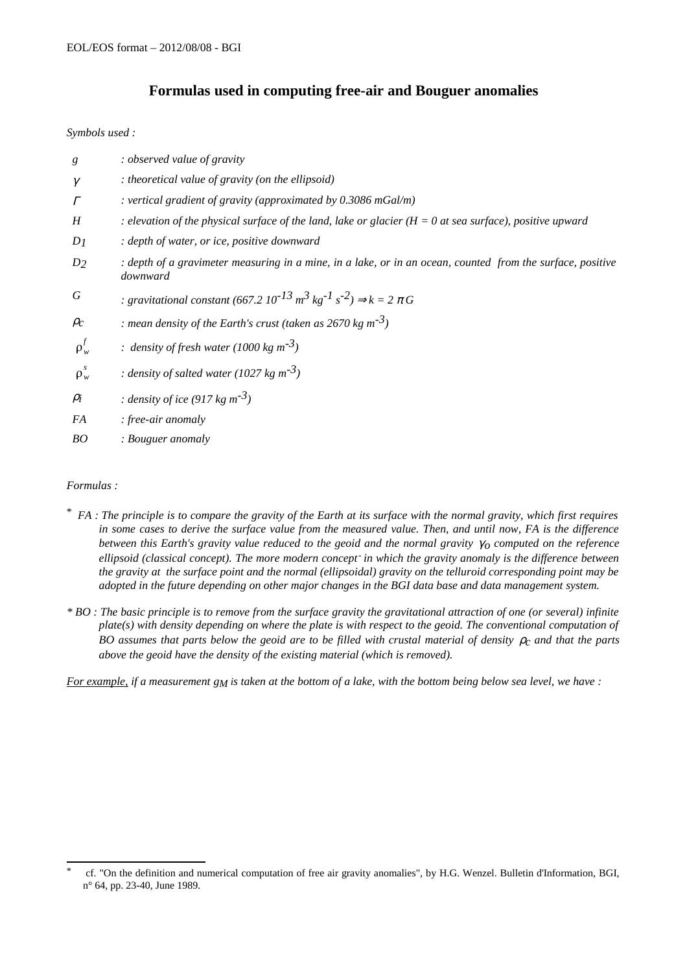### **Formulas used in computing free-air and Bouguer anomalies**

*Symbols used :*

| g          | : observed value of gravity                                                                                              |
|------------|--------------------------------------------------------------------------------------------------------------------------|
| $\gamma$   | : theoretical value of gravity (on the ellipsoid)                                                                        |
| $\Gamma$   | : vertical gradient of gravity (approximated by 0.3086 mGal/m)                                                           |
| H          | : elevation of the physical surface of the land, lake or glacier ( $H = 0$ at sea surface), positive upward              |
| $D_1$      | : depth of water, or ice, positive downward                                                                              |
| $D_2$      | : depth of a gravimeter measuring in a mine, in a lake, or in an ocean, counted from the surface, positive<br>downward   |
| G          | : gravitational constant (667.2 $10^{-13}$ m <sup>3</sup> kg <sup>-1</sup> s <sup>-2</sup> ) $\Rightarrow$ k = 2 $\pi$ G |
| $\rho_c$   | : mean density of the Earth's crust (taken as 2670 kg $m^{-3}$ )                                                         |
| $\rho_w^f$ | : density of fresh water (1000 kg $m^{-3}$ )                                                                             |
| $\rho_w^s$ | : density of salted water (1027 kg $m^{-3}$ )                                                                            |
| $\rho_i$   | : density of ice (917 kg m <sup>-3</sup> )                                                                               |
| FA         | : free-air anomaly                                                                                                       |

*BO : Bouguer anomaly*

#### *Formulas :*

- \*  *FA : The principle is to compare the gravity of the Earth at its surface with the normal gravity, which first requires in some cases to derive the surface value from the measured value. Then, and until now, FA is the difference between this Earth's gravity value reduced to the geoid and the normal gravity γ<sub>0</sub> computed on the reference ellipsoid (classical concept). The more modern concept [\\*](#page-7-0) in which the gravity anomaly is the difference between the gravity at the surface point and the normal (ellipsoidal) gravity on the telluroid corresponding point may be adopted in the future depending on other major changes in the BGI data base and data management system.*
- *\* BO : The basic principle is to remove from the surface gravity the gravitational attraction of one (or several) infinite plate(s) with density depending on where the plate is with respect to the geoid. The conventional computation of BO assumes that parts below the geoid are to be filled with crustal material of density ρ<sub>c</sub> and that the parts above the geoid have the density of the existing material (which is removed).*

*For example, if a measurement gM is taken at the bottom of a lake, with the bottom being below sea level, we have :*

<span id="page-7-0"></span><sup>\*</sup> cf. "On the definition and numerical computation of free air gravity anomalies", by H.G. Wenzel. Bulletin d'Information, BGI, n° 64, pp. 23-40, June 1989.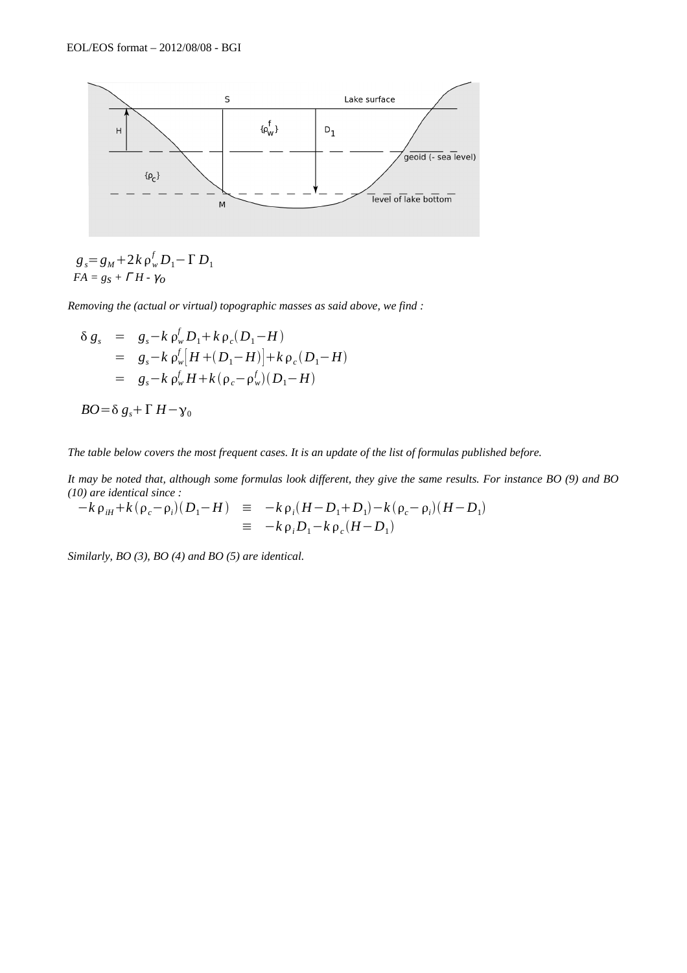

 $g_s = g_M + 2k \rho_w^f D_1 - \Gamma D_1$  $FA = g_S + \Gamma H - \gamma_O$ 

*Removing the (actual or virtual) topographic masses as said above, we find :*

$$
\delta g_s = g_s - k \rho_w^f D_1 + k \rho_c (D_1 - H)
$$
  
=  $g_s - k \rho_w^f [H + (D_1 - H)] + k \rho_c (D_1 - H)$   
=  $g_s - k \rho_w^f H + k (\rho_c - \rho_w^f) (D_1 - H)$ 

$$
BO = \delta g_s + \Gamma H - \gamma_0
$$

*The table below covers the most frequent cases. It is an update of the list of formulas published before.*

*It may be noted that, although some formulas look different, they give the same results. For instance BO (9) and BO (10) are identical since :*

$$
-k \rho_{iH} + k(\rho_c - \rho_i)(D_1 - H) \equiv -k \rho_i (H - D_1 + D_1) - k(\rho_c - \rho_i)(H - D_1)
$$
  

$$
\equiv -k \rho_i D_1 - k \rho_c (H - D_1)
$$

*Similarly, BO (3), BO (4) and BO (5) are identical.*